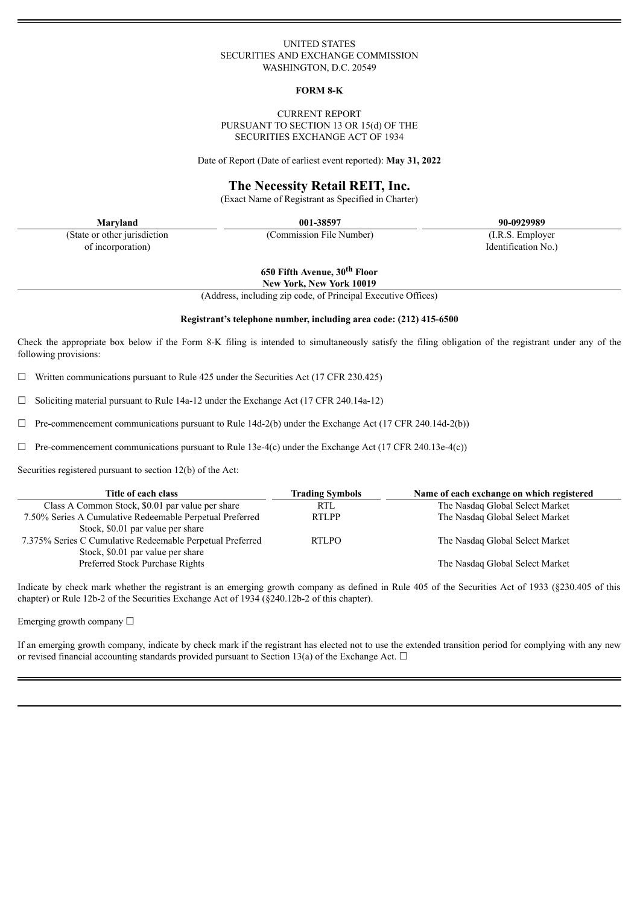### UNITED STATES SECURITIES AND EXCHANGE COMMISSION WASHINGTON, D.C. 20549

#### **FORM 8-K**

### CURRENT REPORT PURSUANT TO SECTION 13 OR 15(d) OF THE SECURITIES EXCHANGE ACT OF 1934

Date of Report (Date of earliest event reported): **May 31, 2022**

## **The Necessity Retail REIT, Inc.**

(Exact Name of Registrant as Specified in Charter)

(State or other jurisdiction of incorporation)

**Maryland 001-38597 90-0929989**

(Commission File Number) (I.R.S. Employer

**650 Fifth Avenue, 30 th Floor**

**New York, New York 10019**

(Address, including zip code, of Principal Executive Offices)

### **Registrant's telephone number, including area code: (212) 415-6500**

Check the appropriate box below if the Form 8-K filing is intended to simultaneously satisfy the filing obligation of the registrant under any of the following provisions:

 $\Box$  Written communications pursuant to Rule 425 under the Securities Act (17 CFR 230.425)

 $\Box$  Soliciting material pursuant to Rule 14a-12 under the Exchange Act (17 CFR 240.14a-12)

 $\Box$  Pre-commencement communications pursuant to Rule 14d-2(b) under the Exchange Act (17 CFR 240.14d-2(b))

 $\Box$  Pre-commencement communications pursuant to Rule 13e-4(c) under the Exchange Act (17 CFR 240.13e-4(c))

Securities registered pursuant to section 12(b) of the Act:

| Title of each class                                       | <b>Trading Symbols</b> | Name of each exchange on which registered |
|-----------------------------------------------------------|------------------------|-------------------------------------------|
| Class A Common Stock, \$0.01 par value per share          | <b>RTL</b>             | The Nasdaq Global Select Market           |
| 7.50% Series A Cumulative Redeemable Perpetual Preferred  | <b>RTLPP</b>           | The Nasdaq Global Select Market           |
| Stock, \$0.01 par value per share                         |                        |                                           |
| 7.375% Series C Cumulative Redeemable Perpetual Preferred | <b>RTLPO</b>           | The Nasdaq Global Select Market           |
| Stock, \$0.01 par value per share                         |                        |                                           |
| Preferred Stock Purchase Rights                           |                        | The Nasdaq Global Select Market           |

Indicate by check mark whether the registrant is an emerging growth company as defined in Rule 405 of the Securities Act of 1933 (§230.405 of this chapter) or Rule 12b-2 of the Securities Exchange Act of 1934 (§240.12b-2 of this chapter).

Emerging growth company ☐

If an emerging growth company, indicate by check mark if the registrant has elected not to use the extended transition period for complying with any new or revised financial accounting standards provided pursuant to Section 13(a) of the Exchange Act.  $\Box$ 

Identification No.)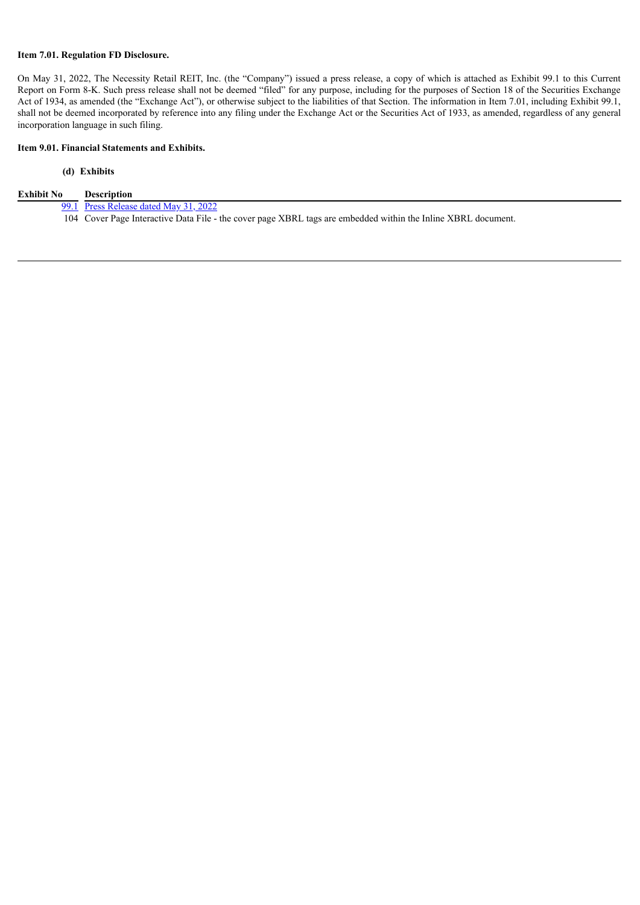### **Item 7.01. Regulation FD Disclosure.**

On May 31, 2022, The Necessity Retail REIT, Inc. (the "Company") issued a press release, a copy of which is attached as Exhibit 99.1 to this Current Report on Form 8-K. Such press release shall not be deemed "filed" for any purpose, including for the purposes of Section 18 of the Securities Exchange Act of 1934, as amended (the "Exchange Act"), or otherwise subject to the liabilities of that Section. The information in Item 7.01, including Exhibit 99.1, shall not be deemed incorporated by reference into any filing under the Exchange Act or the Securities Act of 1933, as amended, regardless of any general incorporation language in such filing.

### **Item 9.01. Financial Statements and Exhibits.**

## **(d) Exhibits**

[99.1](#page-3-0) Press [Release](#page-3-0) dated May 31, 2022

104 Cover Page Interactive Data File - the cover page XBRL tags are embedded within the Inline XBRL document.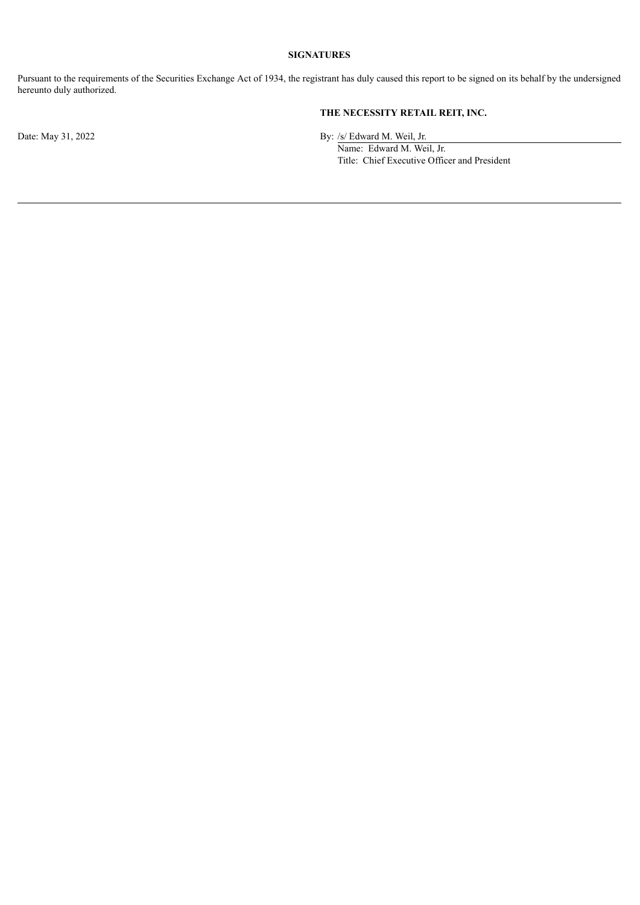## **SIGNATURES**

Pursuant to the requirements of the Securities Exchange Act of 1934, the registrant has duly caused this report to be signed on its behalf by the undersigned hereunto duly authorized.

# **THE NECESSITY RETAIL REIT, INC.**

Date: May 31, 2022 By: /s/ Edward M. Weil, Jr.

Name: Edward M. Weil, Jr. Title: Chief Executive Officer and President